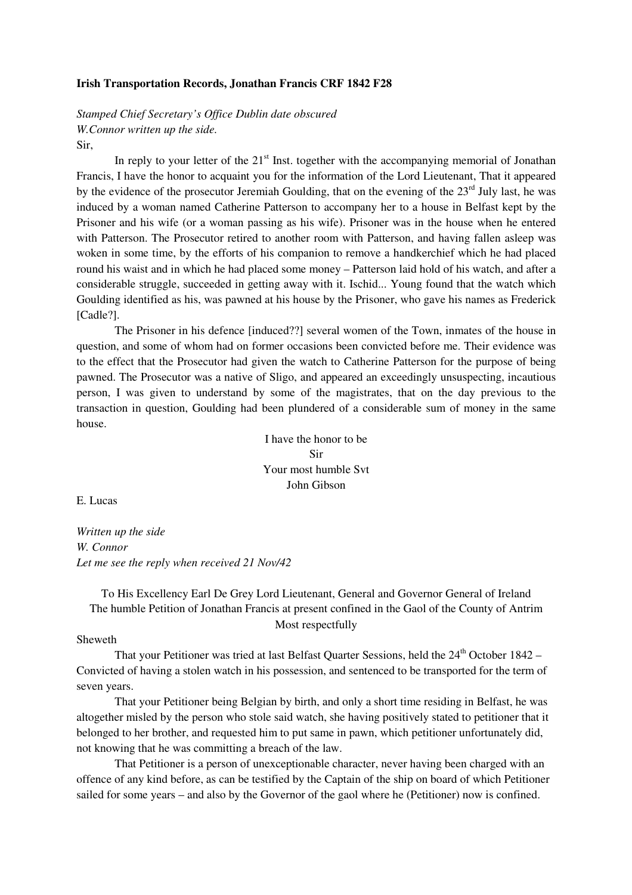#### **Irish Transportation Records, Jonathan Francis CRF 1842 F28**

*Stamped Chief Secretary's Office Dublin date obscured W.Connor written up the side.* 

## Sir,

In reply to your letter of the  $21<sup>st</sup>$  Inst. together with the accompanying memorial of Jonathan Francis, I have the honor to acquaint you for the information of the Lord Lieutenant, That it appeared by the evidence of the prosecutor Jeremiah Goulding, that on the evening of the 23<sup>rd</sup> July last, he was induced by a woman named Catherine Patterson to accompany her to a house in Belfast kept by the Prisoner and his wife (or a woman passing as his wife). Prisoner was in the house when he entered with Patterson. The Prosecutor retired to another room with Patterson, and having fallen asleep was woken in some time, by the efforts of his companion to remove a handkerchief which he had placed round his waist and in which he had placed some money – Patterson laid hold of his watch, and after a considerable struggle, succeeded in getting away with it. Ischid... Young found that the watch which Goulding identified as his, was pawned at his house by the Prisoner, who gave his names as Frederick [Cadle?].

 The Prisoner in his defence [induced??] several women of the Town, inmates of the house in question, and some of whom had on former occasions been convicted before me. Their evidence was to the effect that the Prosecutor had given the watch to Catherine Patterson for the purpose of being pawned. The Prosecutor was a native of Sligo, and appeared an exceedingly unsuspecting, incautious person, I was given to understand by some of the magistrates, that on the day previous to the transaction in question, Goulding had been plundered of a considerable sum of money in the same house.

> I have the honor to be Sir Your most humble Svt John Gibson

E. Lucas

*Written up the side W. Connor Let me see the reply when received 21 Nov/42* 

## To His Excellency Earl De Grey Lord Lieutenant, General and Governor General of Ireland The humble Petition of Jonathan Francis at present confined in the Gaol of the County of Antrim Most respectfully

#### Sheweth

That your Petitioner was tried at last Belfast Quarter Sessions, held the  $24<sup>th</sup>$  October 1842 – Convicted of having a stolen watch in his possession, and sentenced to be transported for the term of seven years.

 That your Petitioner being Belgian by birth, and only a short time residing in Belfast, he was altogether misled by the person who stole said watch, she having positively stated to petitioner that it belonged to her brother, and requested him to put same in pawn, which petitioner unfortunately did, not knowing that he was committing a breach of the law.

 That Petitioner is a person of unexceptionable character, never having been charged with an offence of any kind before, as can be testified by the Captain of the ship on board of which Petitioner sailed for some years – and also by the Governor of the gaol where he (Petitioner) now is confined.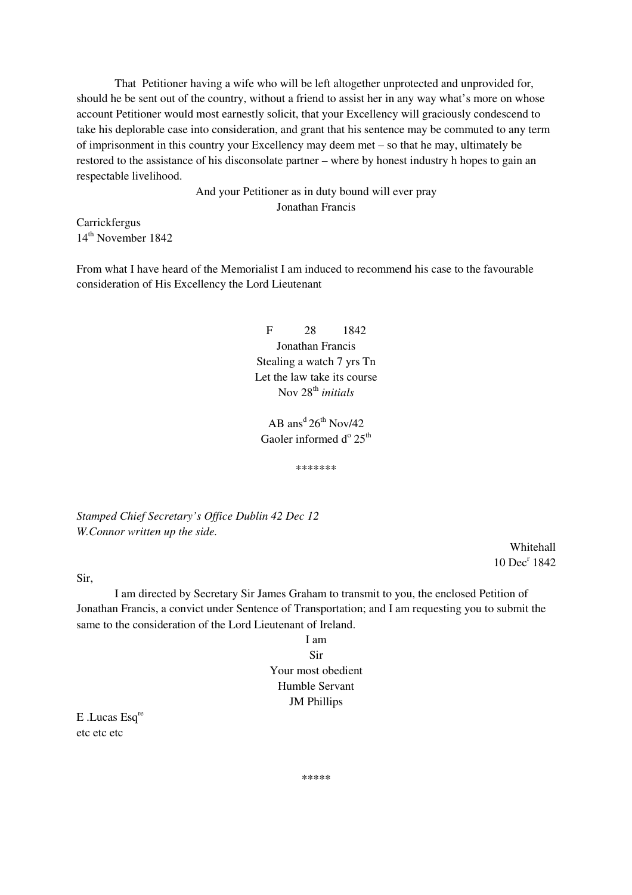That Petitioner having a wife who will be left altogether unprotected and unprovided for, should he be sent out of the country, without a friend to assist her in any way what's more on whose account Petitioner would most earnestly solicit, that your Excellency will graciously condescend to take his deplorable case into consideration, and grant that his sentence may be commuted to any term of imprisonment in this country your Excellency may deem met – so that he may, ultimately be restored to the assistance of his disconsolate partner – where by honest industry h hopes to gain an respectable livelihood.

> And your Petitioner as in duty bound will ever pray Jonathan Francis

Carrickfergus 14th November 1842

From what I have heard of the Memorialist I am induced to recommend his case to the favourable consideration of His Excellency the Lord Lieutenant

> F 28 1842 Jonathan Francis Stealing a watch 7 yrs Tn Let the law take its course Nov 28th *initials*

AB ans<sup>d</sup>  $26^{th}$  Nov/42 Gaoler informed  $d^{\circ} 25^{th}$ 

\*\*\*\*\*\*\*

*Stamped Chief Secretary's Office Dublin 42 Dec 12 W.Connor written up the side.* 

> Whitehall 10 Dec<sup>r</sup> 1842

Sir,

 I am directed by Secretary Sir James Graham to transmit to you, the enclosed Petition of Jonathan Francis, a convict under Sentence of Transportation; and I am requesting you to submit the same to the consideration of the Lord Lieutenant of Ireland.

> I am Sir Your most obedient Humble Servant JM Phillips

E .Lucas Esq<sup>re</sup> etc etc etc